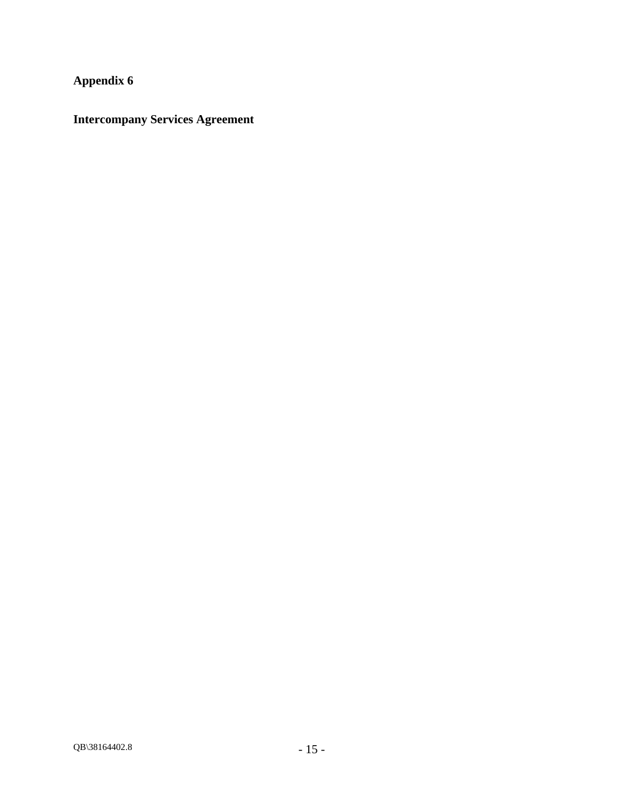**Appendix 6** 

**Intercompany Services Agreement**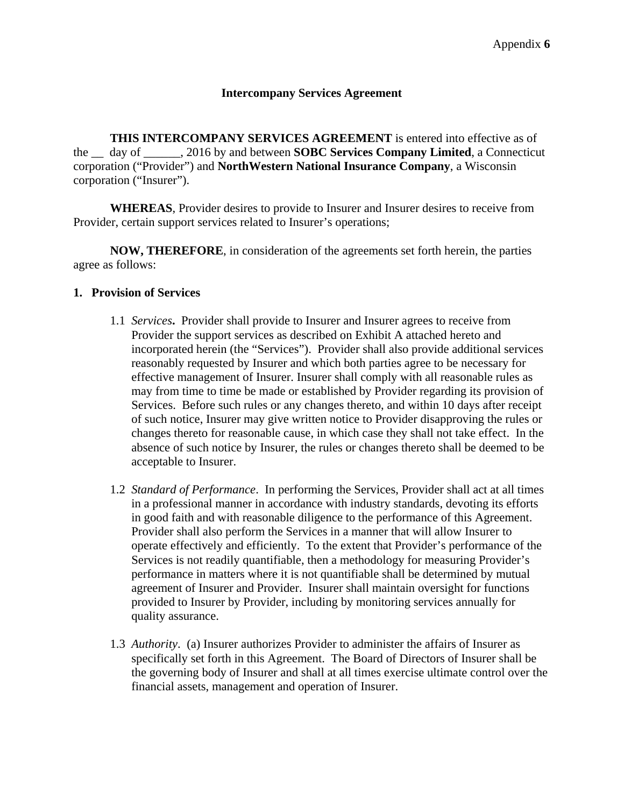#### **Intercompany Services Agreement**

**THIS INTERCOMPANY SERVICES AGREEMENT** is entered into effective as of the \_\_ day of \_\_\_\_\_\_, 2016 by and between **SOBC Services Company Limited**, a Connecticut corporation ("Provider") and **NorthWestern National Insurance Company**, a Wisconsin corporation ("Insurer").

**WHEREAS**, Provider desires to provide to Insurer and Insurer desires to receive from Provider, certain support services related to Insurer's operations;

**NOW, THEREFORE**, in consideration of the agreements set forth herein, the parties agree as follows:

#### **1. Provision of Services**

- 1.1 *Services***.** Provider shall provide to Insurer and Insurer agrees to receive from Provider the support services as described on Exhibit A attached hereto and incorporated herein (the "Services"). Provider shall also provide additional services reasonably requested by Insurer and which both parties agree to be necessary for effective management of Insurer. Insurer shall comply with all reasonable rules as may from time to time be made or established by Provider regarding its provision of Services. Before such rules or any changes thereto, and within 10 days after receipt of such notice, Insurer may give written notice to Provider disapproving the rules or changes thereto for reasonable cause, in which case they shall not take effect. In the absence of such notice by Insurer, the rules or changes thereto shall be deemed to be acceptable to Insurer.
- 1.2 *Standard of Performance*. In performing the Services, Provider shall act at all times in a professional manner in accordance with industry standards, devoting its efforts in good faith and with reasonable diligence to the performance of this Agreement. Provider shall also perform the Services in a manner that will allow Insurer to operate effectively and efficiently. To the extent that Provider's performance of the Services is not readily quantifiable, then a methodology for measuring Provider's performance in matters where it is not quantifiable shall be determined by mutual agreement of Insurer and Provider. Insurer shall maintain oversight for functions provided to Insurer by Provider, including by monitoring services annually for quality assurance.
- 1.3 *Authority*. (a) Insurer authorizes Provider to administer the affairs of Insurer as specifically set forth in this Agreement. The Board of Directors of Insurer shall be the governing body of Insurer and shall at all times exercise ultimate control over the financial assets, management and operation of Insurer.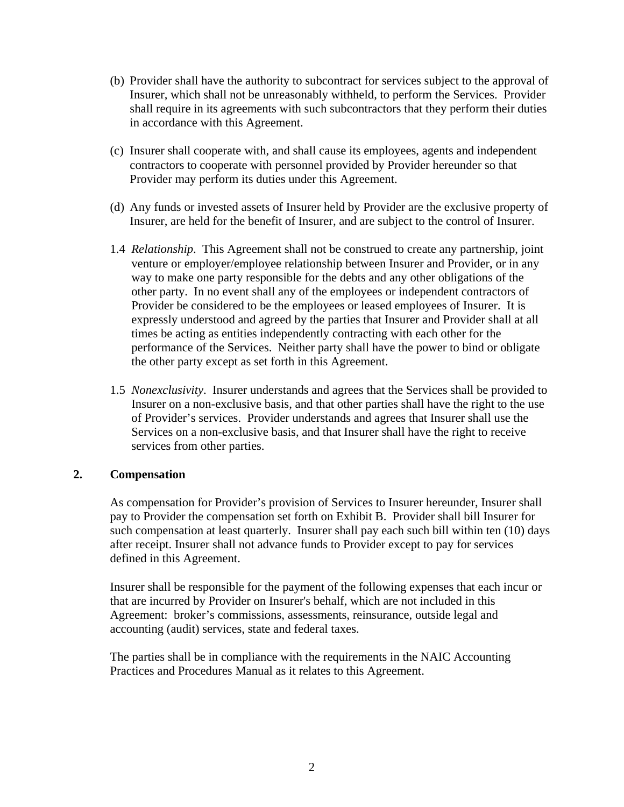- (b) Provider shall have the authority to subcontract for services subject to the approval of Insurer, which shall not be unreasonably withheld, to perform the Services. Provider shall require in its agreements with such subcontractors that they perform their duties in accordance with this Agreement.
- (c) Insurer shall cooperate with, and shall cause its employees, agents and independent contractors to cooperate with personnel provided by Provider hereunder so that Provider may perform its duties under this Agreement.
- (d) Any funds or invested assets of Insurer held by Provider are the exclusive property of Insurer, are held for the benefit of Insurer, and are subject to the control of Insurer.
- 1.4 *Relationship*. This Agreement shall not be construed to create any partnership, joint venture or employer/employee relationship between Insurer and Provider, or in any way to make one party responsible for the debts and any other obligations of the other party. In no event shall any of the employees or independent contractors of Provider be considered to be the employees or leased employees of Insurer. It is expressly understood and agreed by the parties that Insurer and Provider shall at all times be acting as entities independently contracting with each other for the performance of the Services. Neither party shall have the power to bind or obligate the other party except as set forth in this Agreement.
- 1.5 *Nonexclusivity*. Insurer understands and agrees that the Services shall be provided to Insurer on a non-exclusive basis, and that other parties shall have the right to the use of Provider's services. Provider understands and agrees that Insurer shall use the Services on a non-exclusive basis, and that Insurer shall have the right to receive services from other parties.

#### **2. Compensation**

As compensation for Provider's provision of Services to Insurer hereunder, Insurer shall pay to Provider the compensation set forth on Exhibit B. Provider shall bill Insurer for such compensation at least quarterly. Insurer shall pay each such bill within ten (10) days after receipt. Insurer shall not advance funds to Provider except to pay for services defined in this Agreement.

Insurer shall be responsible for the payment of the following expenses that each incur or that are incurred by Provider on Insurer's behalf, which are not included in this Agreement: broker's commissions, assessments, reinsurance, outside legal and accounting (audit) services, state and federal taxes.

The parties shall be in compliance with the requirements in the NAIC Accounting Practices and Procedures Manual as it relates to this Agreement.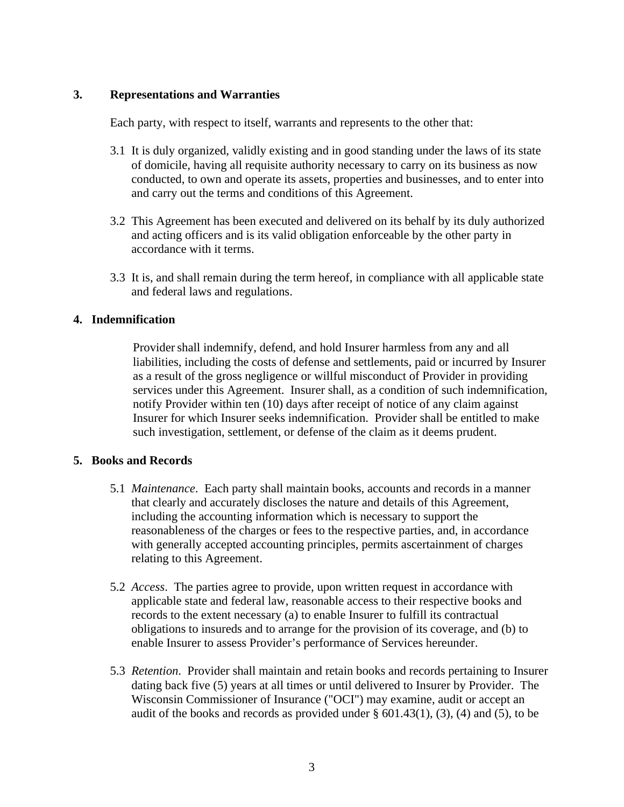### **3. Representations and Warranties**

Each party, with respect to itself, warrants and represents to the other that:

- 3.1 It is duly organized, validly existing and in good standing under the laws of its state of domicile, having all requisite authority necessary to carry on its business as now conducted, to own and operate its assets, properties and businesses, and to enter into and carry out the terms and conditions of this Agreement.
- 3.2 This Agreement has been executed and delivered on its behalf by its duly authorized and acting officers and is its valid obligation enforceable by the other party in accordance with it terms.
- 3.3 It is, and shall remain during the term hereof, in compliance with all applicable state and federal laws and regulations.

## **4. Indemnification**

Provider shall indemnify, defend, and hold Insurer harmless from any and all liabilities, including the costs of defense and settlements, paid or incurred by Insurer as a result of the gross negligence or willful misconduct of Provider in providing services under this Agreement. Insurer shall, as a condition of such indemnification, notify Provider within ten (10) days after receipt of notice of any claim against Insurer for which Insurer seeks indemnification. Provider shall be entitled to make such investigation, settlement, or defense of the claim as it deems prudent.

#### **5. Books and Records**

- 5.1 *Maintenance*. Each party shall maintain books, accounts and records in a manner that clearly and accurately discloses the nature and details of this Agreement, including the accounting information which is necessary to support the reasonableness of the charges or fees to the respective parties, and, in accordance with generally accepted accounting principles, permits ascertainment of charges relating to this Agreement.
- 5.2 *Access*. The parties agree to provide, upon written request in accordance with applicable state and federal law, reasonable access to their respective books and records to the extent necessary (a) to enable Insurer to fulfill its contractual obligations to insureds and to arrange for the provision of its coverage, and (b) to enable Insurer to assess Provider's performance of Services hereunder.
- 5.3 *Retention*. Provider shall maintain and retain books and records pertaining to Insurer dating back five (5) years at all times or until delivered to Insurer by Provider. The Wisconsin Commissioner of Insurance ("OCI") may examine, audit or accept an audit of the books and records as provided under  $\S$  601.43(1), (3), (4) and (5), to be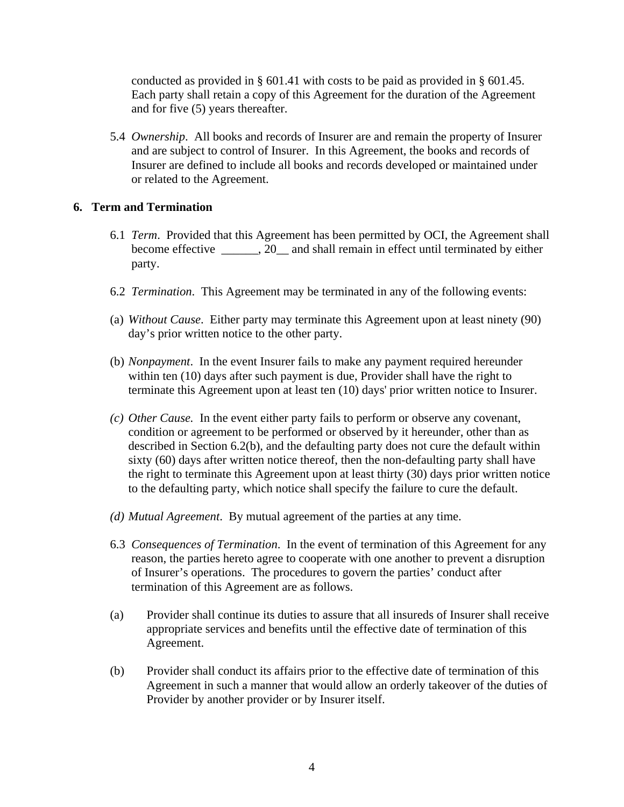conducted as provided in § 601.41 with costs to be paid as provided in § 601.45. Each party shall retain a copy of this Agreement for the duration of the Agreement and for five (5) years thereafter.

5.4 *Ownership*. All books and records of Insurer are and remain the property of Insurer and are subject to control of Insurer. In this Agreement, the books and records of Insurer are defined to include all books and records developed or maintained under or related to the Agreement.

#### **6. Term and Termination**

- 6.1 *Term*. Provided that this Agreement has been permitted by OCI, the Agreement shall become effective \_\_\_\_\_\_, 20\_\_ and shall remain in effect until terminated by either party.
- 6.2 *Termination*. This Agreement may be terminated in any of the following events:
- (a) *Without Cause*. Either party may terminate this Agreement upon at least ninety (90) day's prior written notice to the other party.
- (b) *Nonpayment*. In the event Insurer fails to make any payment required hereunder within ten (10) days after such payment is due, Provider shall have the right to terminate this Agreement upon at least ten (10) days' prior written notice to Insurer.
- *(c) Other Cause.* In the event either party fails to perform or observe any covenant, condition or agreement to be performed or observed by it hereunder, other than as described in Section 6.2(b), and the defaulting party does not cure the default within sixty (60) days after written notice thereof, then the non-defaulting party shall have the right to terminate this Agreement upon at least thirty (30) days prior written notice to the defaulting party, which notice shall specify the failure to cure the default.
- *(d) Mutual Agreement*. By mutual agreement of the parties at any time.
- 6.3 *Consequences of Termination*. In the event of termination of this Agreement for any reason, the parties hereto agree to cooperate with one another to prevent a disruption of Insurer's operations. The procedures to govern the parties' conduct after termination of this Agreement are as follows.
- (a) Provider shall continue its duties to assure that all insureds of Insurer shall receive appropriate services and benefits until the effective date of termination of this Agreement.
- (b) Provider shall conduct its affairs prior to the effective date of termination of this Agreement in such a manner that would allow an orderly takeover of the duties of Provider by another provider or by Insurer itself.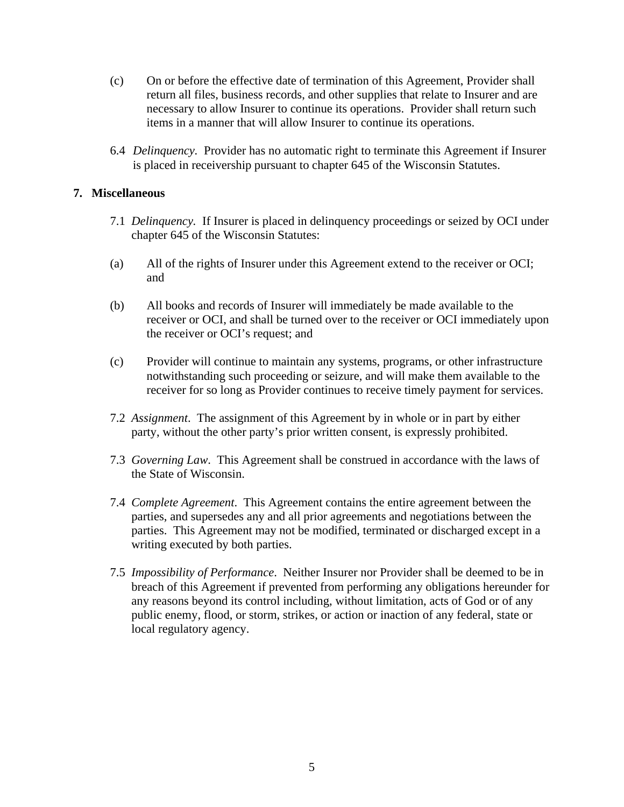- (c) On or before the effective date of termination of this Agreement, Provider shall return all files, business records, and other supplies that relate to Insurer and are necessary to allow Insurer to continue its operations. Provider shall return such items in a manner that will allow Insurer to continue its operations.
- 6.4 *Delinquency.* Provider has no automatic right to terminate this Agreement if Insurer is placed in receivership pursuant to chapter 645 of the Wisconsin Statutes.

### **7. Miscellaneous**

- 7.1 *Delinquency.* If Insurer is placed in delinquency proceedings or seized by OCI under chapter 645 of the Wisconsin Statutes:
- (a) All of the rights of Insurer under this Agreement extend to the receiver or OCI; and
- (b) All books and records of Insurer will immediately be made available to the receiver or OCI, and shall be turned over to the receiver or OCI immediately upon the receiver or OCI's request; and
- (c) Provider will continue to maintain any systems, programs, or other infrastructure notwithstanding such proceeding or seizure, and will make them available to the receiver for so long as Provider continues to receive timely payment for services.
- 7.2 *Assignment*. The assignment of this Agreement by in whole or in part by either party, without the other party's prior written consent, is expressly prohibited.
- 7.3 *Governing Law*. This Agreement shall be construed in accordance with the laws of the State of Wisconsin.
- 7.4 *Complete Agreement*. This Agreement contains the entire agreement between the parties, and supersedes any and all prior agreements and negotiations between the parties. This Agreement may not be modified, terminated or discharged except in a writing executed by both parties.
- 7.5 *Impossibility of Performance*. Neither Insurer nor Provider shall be deemed to be in breach of this Agreement if prevented from performing any obligations hereunder for any reasons beyond its control including, without limitation, acts of God or of any public enemy, flood, or storm, strikes, or action or inaction of any federal, state or local regulatory agency.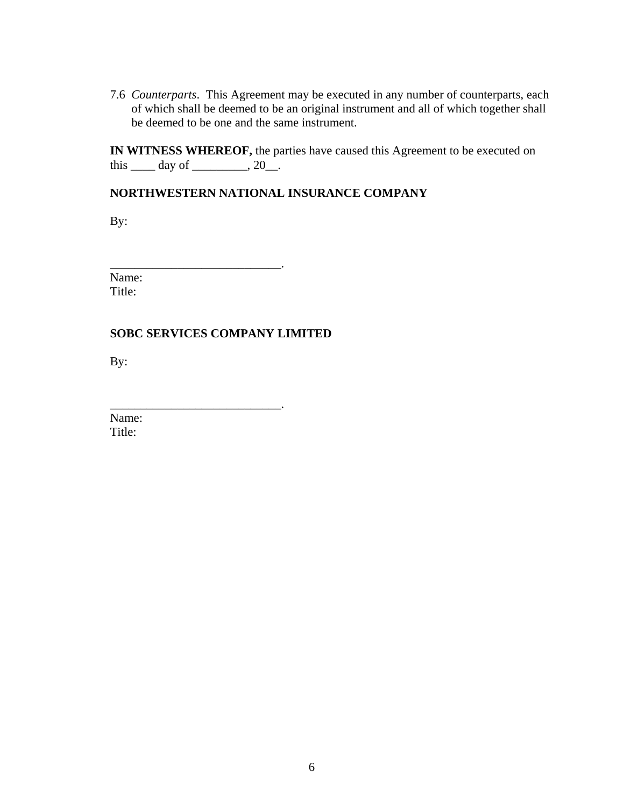7.6 *Counterparts*. This Agreement may be executed in any number of counterparts, each of which shall be deemed to be an original instrument and all of which together shall be deemed to be one and the same instrument.

**IN WITNESS WHEREOF,** the parties have caused this Agreement to be executed on this  $\rule{1em}{0.15mm}$  day of  $\rule{1em}{0.15mm}$   $\qquad$   $\qquad$   $\qquad$   $\qquad$   $\qquad$   $\qquad$   $\qquad$   $\qquad$   $\qquad$   $\qquad$   $\qquad$   $\qquad$   $\qquad$   $\qquad$   $\qquad$   $\qquad$   $\qquad$   $\qquad$   $\qquad$   $\qquad$   $\qquad$   $\qquad$   $\qquad$   $\qquad$   $\qquad$   $\qquad$   $\qquad$   $\qquad$   $\qquad$   $\qquad$ 

## **NORTHWESTERN NATIONAL INSURANCE COMPANY**

By:

Name: Title:

## **SOBC SERVICES COMPANY LIMITED**

\_\_\_\_\_\_\_\_\_\_\_\_\_\_\_\_\_\_\_\_\_\_\_\_\_\_\_\_.

 $\overline{\phantom{a}}$  , and the set of the set of the set of the set of the set of the set of the set of the set of the set of the set of the set of the set of the set of the set of the set of the set of the set of the set of the s

By:

Name: Title: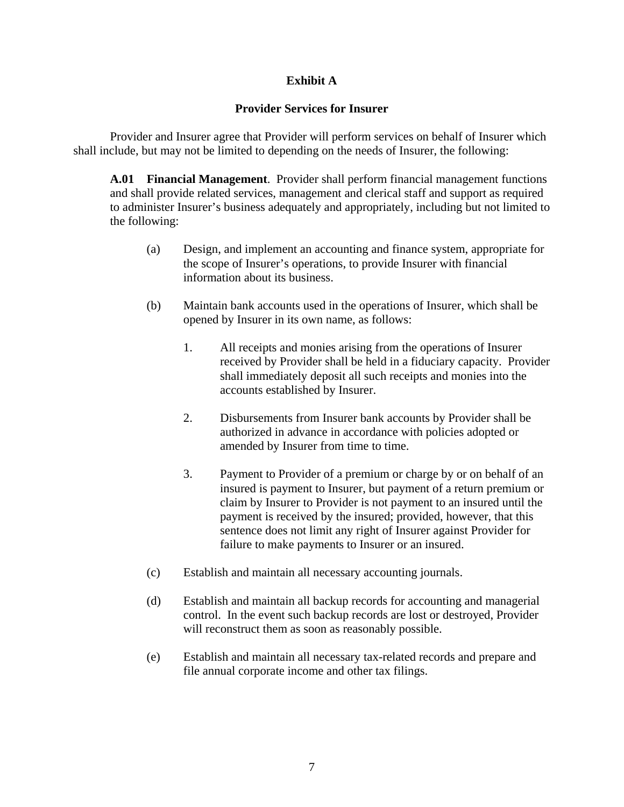## **Exhibit A**

## **Provider Services for Insurer**

Provider and Insurer agree that Provider will perform services on behalf of Insurer which shall include, but may not be limited to depending on the needs of Insurer, the following:

**A.01 Financial Management**. Provider shall perform financial management functions and shall provide related services, management and clerical staff and support as required to administer Insurer's business adequately and appropriately, including but not limited to the following:

- (a) Design, and implement an accounting and finance system, appropriate for the scope of Insurer's operations, to provide Insurer with financial information about its business.
- (b) Maintain bank accounts used in the operations of Insurer, which shall be opened by Insurer in its own name, as follows:
	- 1. All receipts and monies arising from the operations of Insurer received by Provider shall be held in a fiduciary capacity. Provider shall immediately deposit all such receipts and monies into the accounts established by Insurer.
	- 2. Disbursements from Insurer bank accounts by Provider shall be authorized in advance in accordance with policies adopted or amended by Insurer from time to time.
	- 3. Payment to Provider of a premium or charge by or on behalf of an insured is payment to Insurer, but payment of a return premium or claim by Insurer to Provider is not payment to an insured until the payment is received by the insured; provided, however, that this sentence does not limit any right of Insurer against Provider for failure to make payments to Insurer or an insured.
- (c) Establish and maintain all necessary accounting journals.
- (d) Establish and maintain all backup records for accounting and managerial control. In the event such backup records are lost or destroyed, Provider will reconstruct them as soon as reasonably possible.
- (e) Establish and maintain all necessary tax-related records and prepare and file annual corporate income and other tax filings.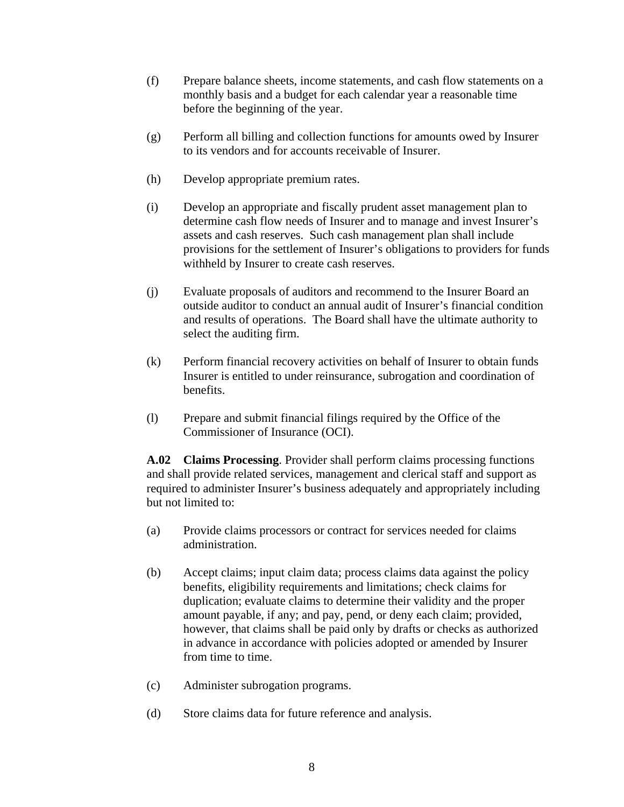- (f) Prepare balance sheets, income statements, and cash flow statements on a monthly basis and a budget for each calendar year a reasonable time before the beginning of the year.
- (g) Perform all billing and collection functions for amounts owed by Insurer to its vendors and for accounts receivable of Insurer.
- (h) Develop appropriate premium rates.
- (i) Develop an appropriate and fiscally prudent asset management plan to determine cash flow needs of Insurer and to manage and invest Insurer's assets and cash reserves. Such cash management plan shall include provisions for the settlement of Insurer's obligations to providers for funds withheld by Insurer to create cash reserves.
- (j) Evaluate proposals of auditors and recommend to the Insurer Board an outside auditor to conduct an annual audit of Insurer's financial condition and results of operations. The Board shall have the ultimate authority to select the auditing firm.
- (k) Perform financial recovery activities on behalf of Insurer to obtain funds Insurer is entitled to under reinsurance, subrogation and coordination of benefits.
- (l) Prepare and submit financial filings required by the Office of the Commissioner of Insurance (OCI).

**A.02 Claims Processing**. Provider shall perform claims processing functions and shall provide related services, management and clerical staff and support as required to administer Insurer's business adequately and appropriately including but not limited to:

- (a) Provide claims processors or contract for services needed for claims administration.
- (b) Accept claims; input claim data; process claims data against the policy benefits, eligibility requirements and limitations; check claims for duplication; evaluate claims to determine their validity and the proper amount payable, if any; and pay, pend, or deny each claim; provided, however, that claims shall be paid only by drafts or checks as authorized in advance in accordance with policies adopted or amended by Insurer from time to time.
- (c) Administer subrogation programs.
- (d) Store claims data for future reference and analysis.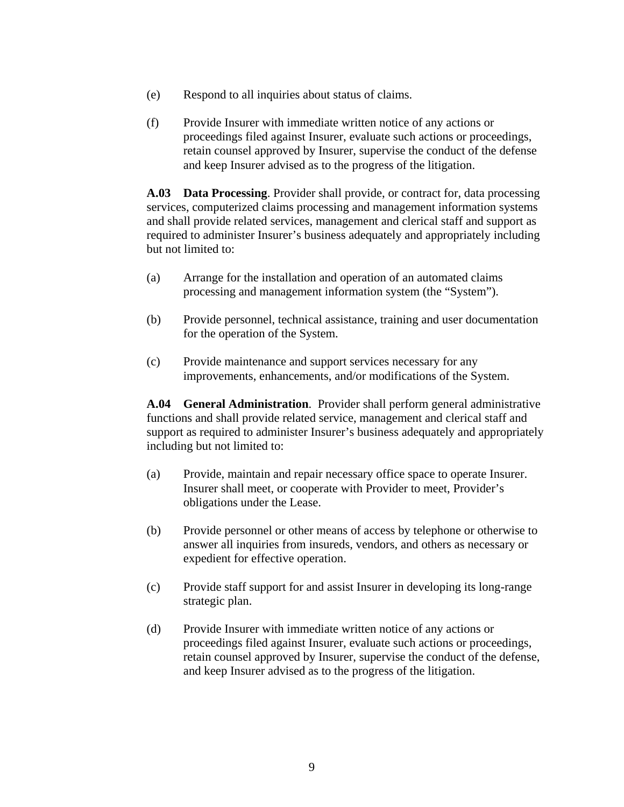- (e) Respond to all inquiries about status of claims.
- (f) Provide Insurer with immediate written notice of any actions or proceedings filed against Insurer, evaluate such actions or proceedings, retain counsel approved by Insurer, supervise the conduct of the defense and keep Insurer advised as to the progress of the litigation.

**A.03 Data Processing**. Provider shall provide, or contract for, data processing services, computerized claims processing and management information systems and shall provide related services, management and clerical staff and support as required to administer Insurer's business adequately and appropriately including but not limited to:

- (a) Arrange for the installation and operation of an automated claims processing and management information system (the "System").
- (b) Provide personnel, technical assistance, training and user documentation for the operation of the System.
- (c) Provide maintenance and support services necessary for any improvements, enhancements, and/or modifications of the System.

**A.04 General Administration**. Provider shall perform general administrative functions and shall provide related service, management and clerical staff and support as required to administer Insurer's business adequately and appropriately including but not limited to:

- (a) Provide, maintain and repair necessary office space to operate Insurer. Insurer shall meet, or cooperate with Provider to meet, Provider's obligations under the Lease.
- (b) Provide personnel or other means of access by telephone or otherwise to answer all inquiries from insureds, vendors, and others as necessary or expedient for effective operation.
- (c) Provide staff support for and assist Insurer in developing its long-range strategic plan.
- (d) Provide Insurer with immediate written notice of any actions or proceedings filed against Insurer, evaluate such actions or proceedings, retain counsel approved by Insurer, supervise the conduct of the defense, and keep Insurer advised as to the progress of the litigation.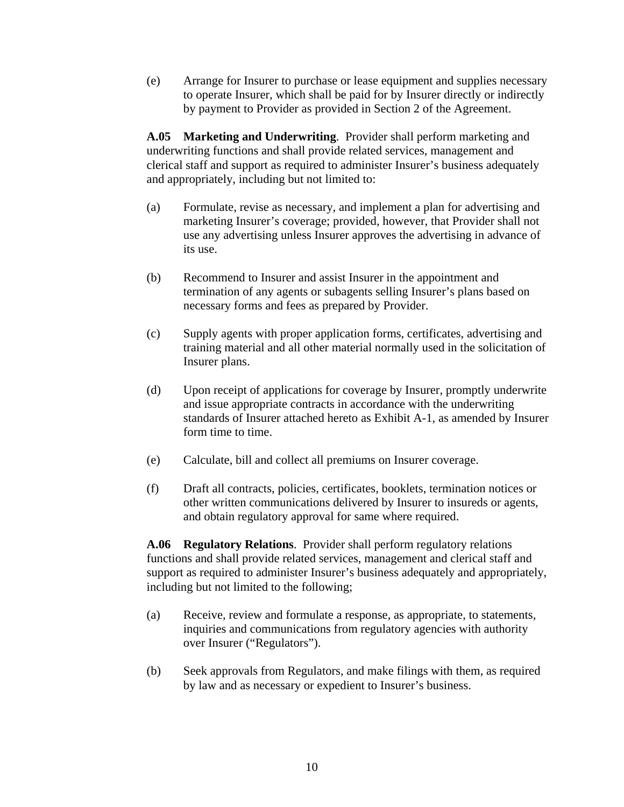(e) Arrange for Insurer to purchase or lease equipment and supplies necessary to operate Insurer, which shall be paid for by Insurer directly or indirectly by payment to Provider as provided in Section 2 of the Agreement.

**A.05 Marketing and Underwriting**. Provider shall perform marketing and underwriting functions and shall provide related services, management and clerical staff and support as required to administer Insurer's business adequately and appropriately, including but not limited to:

- (a) Formulate, revise as necessary, and implement a plan for advertising and marketing Insurer's coverage; provided, however, that Provider shall not use any advertising unless Insurer approves the advertising in advance of its use.
- (b) Recommend to Insurer and assist Insurer in the appointment and termination of any agents or subagents selling Insurer's plans based on necessary forms and fees as prepared by Provider.
- (c) Supply agents with proper application forms, certificates, advertising and training material and all other material normally used in the solicitation of Insurer plans.
- (d) Upon receipt of applications for coverage by Insurer, promptly underwrite and issue appropriate contracts in accordance with the underwriting standards of Insurer attached hereto as Exhibit A-1, as amended by Insurer form time to time.
- (e) Calculate, bill and collect all premiums on Insurer coverage.
- (f) Draft all contracts, policies, certificates, booklets, termination notices or other written communications delivered by Insurer to insureds or agents, and obtain regulatory approval for same where required.

**A.06 Regulatory Relations**. Provider shall perform regulatory relations functions and shall provide related services, management and clerical staff and support as required to administer Insurer's business adequately and appropriately, including but not limited to the following;

- (a) Receive, review and formulate a response, as appropriate, to statements, inquiries and communications from regulatory agencies with authority over Insurer ("Regulators").
- (b) Seek approvals from Regulators, and make filings with them, as required by law and as necessary or expedient to Insurer's business.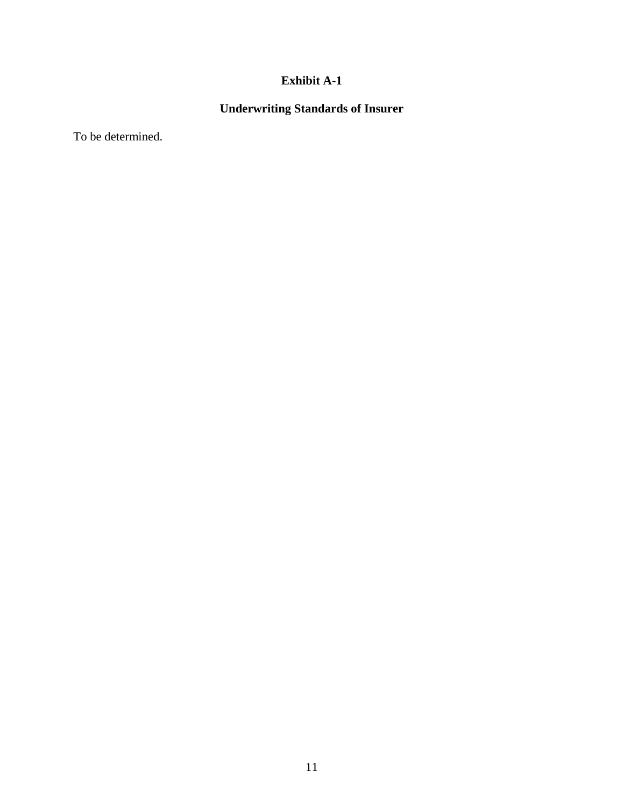# **Exhibit A-1**

# **Underwriting Standards of Insurer**

To be determined.